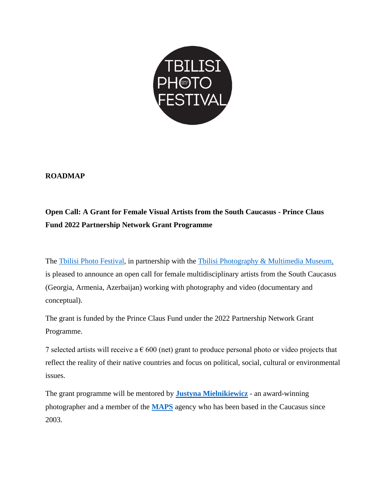

# **ROADMAP**

# **Open Call: A Grant for Female Visual Artists from the South Caucasus - Prince Claus Fund 2022 Partnership Network Grant Programme**

The [Tbilisi Photo Festival,](http://www.tbilisiphotofestival.com/en/) in partnership with the [Tbilisi Photography & Multimedia Museum,](https://tpmm.ge/en/) is pleased to announce an open call for female multidisciplinary artists from the South Caucasus (Georgia, Armenia, Azerbaijan) working with photography and video (documentary and conceptual).

The grant is funded by the Prince Claus Fund under the 2022 Partnership Network Grant Programme.

7 selected artists will receive a  $\epsilon$  600 (net) grant to produce personal photo or video projects that reflect the reality of their native countries and focus on political, social, cultural or environmental issues.

The grant programme will be mentored by **[Justyna Mielnikiewicz](https://www.justmiel.com/)** - an award-winning photographer and a member of the **[MAPS](https://www.mapsimages.com/)** agency who has been based in the Caucasus since 2003.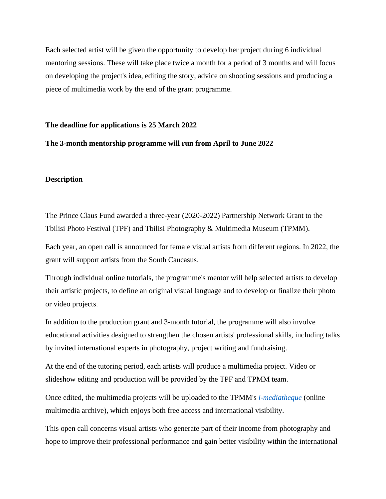Each selected artist will be given the opportunity to develop her project during 6 individual mentoring sessions. These will take place twice a month for a period of 3 months and will focus on developing the project's idea, editing the story, advice on shooting sessions and producing a piece of multimedia work by the end of the grant programme.

#### **The deadline for applications is 25 March 2022**

### **The 3-month mentorship programme will run from April to June 2022**

#### **Description**

The Prince Claus Fund awarded a three-year (2020-2022) Partnership Network Grant to the Tbilisi Photo Festival (TPF) and Tbilisi Photography & Multimedia Museum (TPMM).

Each year, an open call is announced for female visual artists from different regions. In 2022, the grant will support artists from the South Caucasus.

Through individual online tutorials, the programme's mentor will help selected artists to develop their artistic projects, to define an original visual language and to develop or finalize their photo or video projects.

In addition to the production grant and 3-month tutorial, the programme will also involve educational activities designed to strengthen the chosen artists' professional skills, including talks by invited international experts in photography, project writing and fundraising.

At the end of the tutoring period, each artists will produce a multimedia project. Video or slideshow editing and production will be provided by the TPF and TPMM team.

Once edited, the multimedia projects will be uploaded to the TPMM's *[i-mediatheque](https://tpmm.ge/en/video-archive/all/all/0/0/)* (online multimedia archive), which enjoys both free access and international visibility.

This open call concerns visual artists who generate part of their income from photography and hope to improve their professional performance and gain better visibility within the international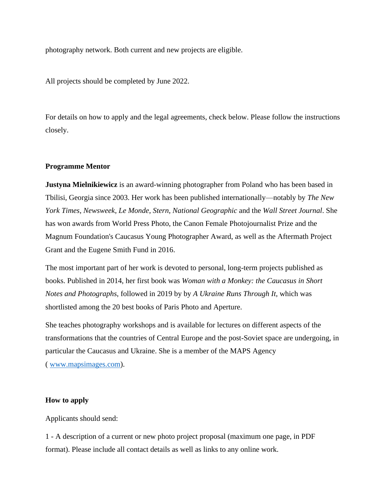photography network. Both current and new projects are eligible.

All projects should be completed by June 2022.

For details on how to apply and the legal agreements, check below. Please follow the instructions closely.

## **Programme Mentor**

**Justyna Mielnikiewicz** is an award-winning photographer from Poland who has been based in Tbilisi, Georgia since 2003. Her work has been published internationally—notably by *The New York Times*, *Newsweek*, *Le Monde*, *Stern*, *National Geographic* and the *Wall Street Journal*. She has won awards from World Press Photo, the Canon Female Photojournalist Prize and the Magnum Foundation's Caucasus Young Photographer Award, as well as the Aftermath Project Grant and the Eugene Smith Fund in 2016.

The most important part of her work is devoted to personal, long-term projects published as books. Published in 2014, her first book was *Woman with a Monkey: the Caucasus in Short Notes and Photographs*, followed in 2019 by by *A Ukraine Runs Through It*, which was shortlisted among the 20 best books of Paris Photo and Aperture.

She teaches photography workshops and is available for lectures on different aspects of the transformations that the countries of Central Europe and the post-Soviet space are undergoing, in particular the Caucasus and Ukraine. She is a member of the MAPS Agency ( [www.mapsimages.com\)](http://www.mapsimages.com/).

### **How to apply**

Applicants should send:

1 - A description of a current or new photo project proposal (maximum one page, in PDF format). Please include all contact details as well as links to any online work.